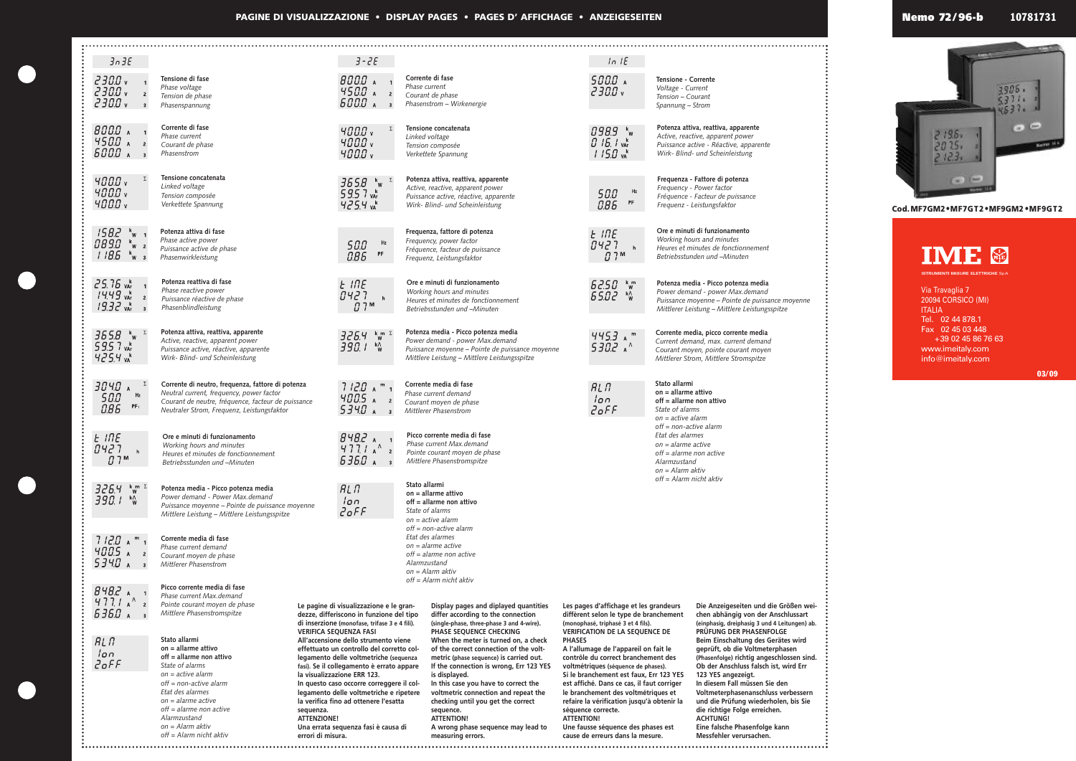**PAGINE DI VISUALIZZAZIONE • DISPLAY PAGES • PAGES D' AFFICHAGE • ANZEIGESEITEN**

| 3n3E                                                     |                                                                                                |                                                                                                                                                              | $3 - 2E$                                                                                                                      |                              |                                                                                                                                                                       |            | ln 1E                                                                                                                           |                                                                                    |                                                                                     |  |  |
|----------------------------------------------------------|------------------------------------------------------------------------------------------------|--------------------------------------------------------------------------------------------------------------------------------------------------------------|-------------------------------------------------------------------------------------------------------------------------------|------------------------------|-----------------------------------------------------------------------------------------------------------------------------------------------------------------------|------------|---------------------------------------------------------------------------------------------------------------------------------|------------------------------------------------------------------------------------|-------------------------------------------------------------------------------------|--|--|
| $Z$ 30.0 $\sqrt{ }$                                      | Tensione di fase                                                                               |                                                                                                                                                              | B000A                                                                                                                         |                              | Corrente di fase                                                                                                                                                      |            | 5000 A                                                                                                                          | <b>Tensione - Corrente</b>                                                         |                                                                                     |  |  |
| 2300v<br>$\overline{2}$                                  | Phase voltage<br>Tension de phase                                                              |                                                                                                                                                              | $450.0$ A 2<br>5000 A<br>$\overline{3}$                                                                                       |                              | Phase current<br>Courant de phase                                                                                                                                     |            | $Z$ 30.0 $v$                                                                                                                    | Voltage - Current<br>Tension - Courant                                             |                                                                                     |  |  |
| $Z$ 30.0 $\sqrt{ }$<br>$\overline{\mathbf{3}}$           | Phasenspannung                                                                                 |                                                                                                                                                              |                                                                                                                               | Phasenstrom - Wirkenergie    |                                                                                                                                                                       |            |                                                                                                                                 | Spannung - Strom                                                                   |                                                                                     |  |  |
| $B00.0$ $\lambda$ 1                                      | Corrente di fase<br>Phase current                                                              |                                                                                                                                                              | 4000v                                                                                                                         |                              | Tensione concatenata                                                                                                                                                  |            | 098.9 kw                                                                                                                        |                                                                                    | Potenza attiva, reattiva, apparente<br>Active, reactive, apparent power             |  |  |
| $4500$ A $2$<br>5000 A                                   | Courant de phase                                                                               |                                                                                                                                                              | 4000v                                                                                                                         |                              | Linked voltage<br>Tension composée                                                                                                                                    |            | $0.15.1$ var                                                                                                                    |                                                                                    | Puissance active - Réactive, apparente                                              |  |  |
|                                                          | Phasenstrom                                                                                    |                                                                                                                                                              | 4000v                                                                                                                         |                              | Verkettete Spannung                                                                                                                                                   |            | $115.0 \text{ vA}^k$                                                                                                            |                                                                                    | Wirk- Blind- und Scheinleistung                                                     |  |  |
| 4000v                                                    | Tensione concatenata<br>Linked voltage                                                         |                                                                                                                                                              | $365.8$ $\frac{k}{w}$                                                                                                         |                              | Potenza attiva, reattiva, apparente<br>Active, reactive, apparent power                                                                                               |            |                                                                                                                                 |                                                                                    | Frequenza - Fattore di potenza                                                      |  |  |
| 400.0 v<br>400.0 v                                       | Tension composée                                                                               |                                                                                                                                                              | 59.57 vAr                                                                                                                     |                              | Puissance active, réactive, apparente                                                                                                                                 |            | Hz<br>50.0<br>PF                                                                                                                |                                                                                    | Frequency - Power factor<br>Fréquence - Facteur de puissance                        |  |  |
|                                                          | Verkettete Spannung                                                                            |                                                                                                                                                              | $425.4 \text{ m}^{\text{k}}$                                                                                                  |                              | Wirk- Blind- und Scheinleistung                                                                                                                                       |            | 0.86                                                                                                                            |                                                                                    | Frequenz - Leistungsfaktor                                                          |  |  |
| $15B.2 \frac{1}{10}$ $\frac{1}{10}$                      | Potenza attiva di fase                                                                         |                                                                                                                                                              |                                                                                                                               |                              | Frequenza, fattore di potenza                                                                                                                                         |            | $E$ INE                                                                                                                         |                                                                                    | Ore e minuti di funzionamento<br>Working hours and minutes                          |  |  |
| <i>089.0</i> *w 2                                        | Phase active power<br>Puissance active de phase                                                |                                                                                                                                                              | Hz<br>50.0<br>PF                                                                                                              |                              | Frequency, power factor<br>Fréquence, facteur de puissance                                                                                                            |            | B427<br>$\mathbf{h}$                                                                                                            |                                                                                    | Heures et minutes de fonctionnement                                                 |  |  |
| 1185<br>$k$ <sub>W</sub> 3                               | Phasenwirkleistung                                                                             |                                                                                                                                                              | 0.86                                                                                                                          |                              | Frequenz, Leistungsfaktor                                                                                                                                             |            | 0.7 <sup>m</sup>                                                                                                                | Betriebsstunden und -Minuten                                                       |                                                                                     |  |  |
| $25.75$ var                                              | Potenza reattiva di fase                                                                       |                                                                                                                                                              | $E$ INE                                                                                                                       |                              | Ore e minuti di funzionamento                                                                                                                                         |            | 62.50<br>$k_{W}^{m}$                                                                                                            |                                                                                    | Potenza media - Picco potenza media                                                 |  |  |
| $14.49 \text{ ya}^k$ 2                                   | Phase reactive power<br>Puissance réactive de phase                                            |                                                                                                                                                              | B427<br>h<br>0.7 <sup>M</sup>                                                                                                 |                              | Working hours and minutes<br>Heures et minutes de fonctionnement                                                                                                      |            | $65.02$ K <sub>W</sub>                                                                                                          | Power demand - power Max.demand<br>Puissance moyenne - Pointe de puissance moyenne |                                                                                     |  |  |
| $19.32 \text{ yar}$<br>$\overline{\phantom{a}}$          |                                                                                                | Phasenblindleistung                                                                                                                                          |                                                                                                                               | Betriebsstunden und -Minuten |                                                                                                                                                                       |            |                                                                                                                                 | Mittlerer Leistung - Mittlere Leistungsspitze                                      |                                                                                     |  |  |
| $365.8$ ky $\frac{1}{2}$                                 | Potenza attiva, reattiva, apparente                                                            |                                                                                                                                                              | $326.4$ km s                                                                                                                  |                              | Potenza media - Picco potenza media                                                                                                                                   |            | $445.3$ a m                                                                                                                     |                                                                                    | Corrente media, picco corrente media                                                |  |  |
| 59.57 vAr                                                | Active, reactive, apparent power<br>Puissance active, réactive, apparente                      |                                                                                                                                                              | $390.1$ k <sup>o</sup> w                                                                                                      |                              | Power demand - power Max.demand<br>Puissance moyenne - Pointe de puissance moyenne                                                                                    |            | $530.2$ A <sup><math>^{\wedge}</math></sup>                                                                                     |                                                                                    | Current demand, max. current demand<br>Courant moyen, pointe courant moyen          |  |  |
| 425.4 vA                                                 | Wirk- Blind- und Scheinleistung                                                                |                                                                                                                                                              |                                                                                                                               |                              | Mittlere Leistung - Mittlere Leistungsspitze                                                                                                                          |            |                                                                                                                                 |                                                                                    | Mittlerer Strom, Mittlere Stromspitze                                               |  |  |
| $3040$ A                                                 | Corrente di neutro, frequenza, fattore di potenza                                              |                                                                                                                                                              | $7120$ A <sup>m</sup> 1                                                                                                       |                              | Corrente media di fase                                                                                                                                                |            | RLR                                                                                                                             | Stato allarmi                                                                      |                                                                                     |  |  |
| Hz<br>50.0<br>PF:                                        | Neutral current, frequency, power factor<br>Courant de neutre, fréquence, facteur de puissance |                                                                                                                                                              | 4005 A<br>$\overline{2}$                                                                                                      |                              | Phase current demand<br>Courant moyen de phase                                                                                                                        | $\sqrt{2}$ |                                                                                                                                 | $on = all$ arme attivo<br>off = allarme non attivo                                 |                                                                                     |  |  |
| 0.86                                                     | Neutraler Strom, Frequenz, Leistungsfaktor                                                     |                                                                                                                                                              | 5340A                                                                                                                         |                              | Mittlerer Phasenstrom                                                                                                                                                 |            | $2$ <sub>O</sub> $5F$                                                                                                           | State of alarms<br>$on = active$ alarm                                             |                                                                                     |  |  |
| E INE                                                    | Ore e minuti di funzionamento                                                                  |                                                                                                                                                              | $B4B.2$ A                                                                                                                     |                              | Picco corrente media di fase                                                                                                                                          |            | $off = non-active alarm$<br>Etat des alarmes                                                                                    |                                                                                    |                                                                                     |  |  |
| רכטח<br>ס ד ט<br>$\mathbf{I}$<br>h                       | Working hours and minutes<br>Heures et minutes de fonctionnement                               |                                                                                                                                                              | $4771h^2$<br>$\overline{2}$                                                                                                   |                              | Phase current Max.demand<br>Pointe courant moyen de phase                                                                                                             |            | $on =$ alarme active<br>$off = alarme$ non active                                                                               |                                                                                    |                                                                                     |  |  |
| 0.7 <sup>m</sup>                                         | Betriebsstunden und -Minuten                                                                   |                                                                                                                                                              | $535.0$ A<br>$\overline{\mathbf{3}}$                                                                                          |                              | Mittlere Phasenstromspitze                                                                                                                                            |            | Alarmzustand<br>$on =$ Alarm aktiv                                                                                              |                                                                                    |                                                                                     |  |  |
| $\begin{array}{c} k \text{ m} \\ W \end{array}$<br>326.4 | Potenza media - Picco potenza media                                                            |                                                                                                                                                              | RLT                                                                                                                           |                              | Stato allarmi<br>on = allarme attivo                                                                                                                                  |            |                                                                                                                                 | off = Alarm nicht aktiv                                                            |                                                                                     |  |  |
| 390. T<br>k∧<br>W                                        | Power demand - Power Max.demand<br>Puissance moyenne - Pointe de puissance moyenne             |                                                                                                                                                              | lon<br>$2$ <sub>O</sub> FF                                                                                                    |                              | $off = all$ arme non attivo                                                                                                                                           |            |                                                                                                                                 |                                                                                    |                                                                                     |  |  |
|                                                          | Mittlere Leistung - Mittlere Leistungsspitze                                                   |                                                                                                                                                              |                                                                                                                               |                              | State of alarms<br>$on = active$ alarm                                                                                                                                |            |                                                                                                                                 |                                                                                    |                                                                                     |  |  |
| $7120$ A <sup>m</sup> 1                                  | Corrente media di fase                                                                         |                                                                                                                                                              |                                                                                                                               |                              | $off = non-active alarm$<br>Etat des alarmes                                                                                                                          |            |                                                                                                                                 |                                                                                    |                                                                                     |  |  |
| $400.5$ A $_2$                                           | Phase current demand<br>Courant moyen de phase                                                 |                                                                                                                                                              |                                                                                                                               |                              | $on =$ alarme active<br>$off = alarme$ non active                                                                                                                     |            |                                                                                                                                 |                                                                                    |                                                                                     |  |  |
| 5340 A<br>$\overline{\phantom{a}}$                       | Mittlerer Phasenstrom                                                                          |                                                                                                                                                              |                                                                                                                               |                              | Alarmzustand<br>$on =$ Alarm aktiv                                                                                                                                    |            |                                                                                                                                 |                                                                                    |                                                                                     |  |  |
| $B4B.2$ $A$ 1                                            | Picco corrente media di fase                                                                   |                                                                                                                                                              |                                                                                                                               |                              | off = Alarm nicht aktiv                                                                                                                                               |            |                                                                                                                                 |                                                                                    |                                                                                     |  |  |
| $477/4^4$                                                | Phase current Max.demand<br>Pointe courant moyen de phase                                      |                                                                                                                                                              | Le pagine di visualizzazione e le gran-                                                                                       |                              | Display pages and diplayed quantities                                                                                                                                 |            | Les pages d'affichage et les grandeurs                                                                                          |                                                                                    | Die Anzeigeseiten und die Größen wei-                                               |  |  |
| $535.0$ A                                                | Mittlere Phasenstromspitze                                                                     |                                                                                                                                                              | dezze, differiscono in funzione del tipo<br>di inserzione (monofase, trifase 3 e 4 fili).                                     |                              | differ according to the connection<br>(single-phase, three-phase 3 and 4-wire).                                                                                       |            | diffèrent selon le type de branchement<br>(monophasé, triphasé 3 et 4 fils).                                                    |                                                                                    | chen abhängig von der Anschlussart<br>(einphasig, dreiphasig 3 und 4 Leitungen) ab. |  |  |
| RLR                                                      | Stato allarmi                                                                                  | <b>VERIFICA SEQUENZA FASI</b><br>All'accensione dello strumento viene<br>effettuato un controllo del corretto col-<br>legamento delle voltmetriche (sequenza |                                                                                                                               |                              | PHASE SEQUENCE CHECKING<br>When the meter is turned on, a check<br><b>PHASES</b><br>of the correct connection of the volt-<br>metric (phase sequence) is carried out. |            | <b>VERIFICATION DE LA SEQUENCE DE</b>                                                                                           | PRÜFUNG DER PHASENFOLGE<br>Beim Einschaltung des Gerätes wird                      |                                                                                     |  |  |
| lon                                                      | $on = all$ arme attivo<br>off = allarme non attivo                                             |                                                                                                                                                              |                                                                                                                               |                              |                                                                                                                                                                       |            | A l'allumage de l'appareil on fait le<br>contrôle du correct branchement des                                                    |                                                                                    | geprüft, ob die Voltmeterphasen<br>(Phasenfolge) richtig angeschlossen sind.        |  |  |
| 2oFF                                                     | State of alarms<br>$on = active$ alarm                                                         | fasi). Se il collegamento è errato appare<br>la visualizzazione ERR 123.                                                                                     |                                                                                                                               |                              | If the connection is wrong, Err 123 YES<br>is displayed.                                                                                                              |            | voltmétriques (séquence de phases).<br>Si le branchement est faux, Err 123 YES                                                  |                                                                                    | Ob der Anschluss falsch ist, wird Err<br>123 YES angezeigt.                         |  |  |
|                                                          | $off = non-active alarm$<br>Etat des alarmes<br>$on =$ alarme active                           |                                                                                                                                                              | In questo caso occorre correggere il col-<br>legamento delle voltmetriche e ripetere<br>la verifica fino ad ottenere l'esatta |                              | In this case you have to correct the<br>voltmetric connection and repeat the<br>checking until you get the correct                                                    |            | est affiché. Dans ce cas, il faut corriger<br>le branchement des voltmétriques et<br>refaire la vérification jusqu'à obtenir la |                                                                                    | In diesem Fall müssen Sie den                                                       |  |  |
|                                                          |                                                                                                |                                                                                                                                                              |                                                                                                                               |                              |                                                                                                                                                                       |            |                                                                                                                                 |                                                                                    | Voltmeterphasenanschluss verbessern<br>und die Prüfung wiederholen, bis Sie         |  |  |
|                                                          | $off = alarme$ non active<br>sequenza.<br>Alarmzustand<br><b>ATTENZIONE!</b>                   |                                                                                                                                                              |                                                                                                                               |                              | sequence.<br><b>ATTENTION!</b>                                                                                                                                        |            | séquence correcte.<br><b>ATTENTION!</b>                                                                                         |                                                                                    | die richtige Folge erreichen.<br><b>ACHTUNG!</b>                                    |  |  |
|                                                          | on = Alarm aktiv<br>$off =$ Alarm nicht aktiv<br>errori di misura.                             |                                                                                                                                                              | Una errata sequenza fasi è causa di<br>A wrong phase sequence may lead to<br>measuring errors.                                |                              | Une fausse séquence des phases est<br>cause de erreurs dans la mesure.                                                                                                |            |                                                                                                                                 | Eine falsche Phasenfolge kann<br>Messfehler verursachen.                           |                                                                                     |  |  |
|                                                          |                                                                                                |                                                                                                                                                              |                                                                                                                               |                              |                                                                                                                                                                       |            |                                                                                                                                 |                                                                                    |                                                                                     |  |  |

Via Travaglia 7 20094 CORSICO (MI) ITALIA Tel. 02 44 878.1 Fax 02 45 03 448 +39 02 45 86 76 63 www.imeitaly.com info@imeitaly.com

**ISTRUMENTI MISURE ELETTRICHE** SpA



**Cod.MF7GM2•MF7GT2•MF9GM2 •MF9GT2**



**03/09**

**Nemo 72 / 96-b 10781731**